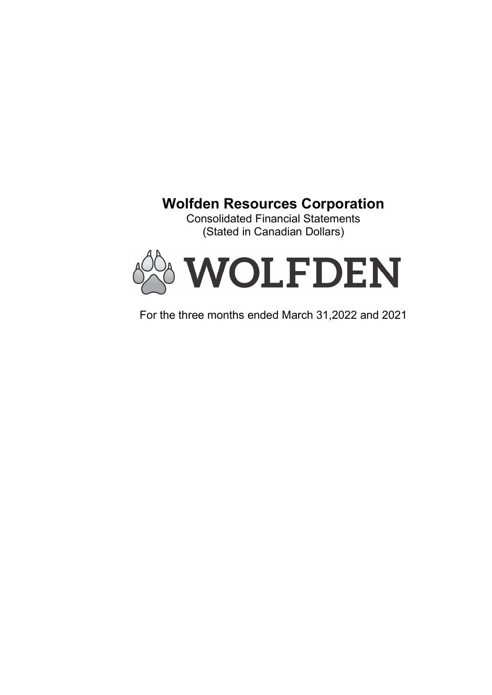# Wolfden Resources Corporation

Consolidated Financial Statements (Stated in Canadian Dollars)



For the three months ended March 31,2022 and 2021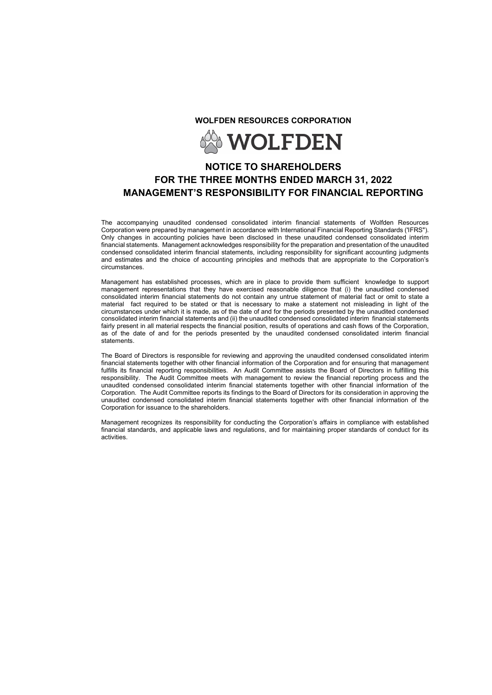WOLFDEN RESOURCES CORPORATION



# NOTICE TO SHAREHOLDERS FOR THE THREE MONTHS ENDED MARCH 31, 2022 MANAGEMENT'S RESPONSIBILITY FOR FINANCIAL REPORTING

The accompanying unaudited condensed consolidated interim financial statements of Wolfden Resources Corporation were prepared by management in accordance with International Financial Reporting Standards ('IFRS"). Only changes in accounting policies have been disclosed in these unaudited condensed consolidated interim financial statements. Management acknowledges responsibility for the preparation and presentation of the unaudited condensed consolidated interim financial statements, including responsibility for significant accounting judgments and estimates and the choice of accounting principles and methods that are appropriate to the Corporation's circumstances.

Management has established processes, which are in place to provide them sufficient knowledge to support management representations that they have exercised reasonable diligence that (i) the unaudited condensed consolidated interim financial statements do not contain any untrue statement of material fact or omit to state a material fact required to be stated or that is necessary to make a statement not misleading in light of the circumstances under which it is made, as of the date of and for the periods presented by the unaudited condensed consolidated interim financial statements and (ii) the unaudited condensed consolidated interim financial statements fairly present in all material respects the financial position, results of operations and cash flows of the Corporation, as of the date of and for the periods presented by the unaudited condensed consolidated interim financial statements.

The Board of Directors is responsible for reviewing and approving the unaudited condensed consolidated interim financial statements together with other financial information of the Corporation and for ensuring that management fulfills its financial reporting responsibilities. An Audit Committee assists the Board of Directors in fulfilling this responsibility. The Audit Committee meets with management to review the financial reporting process and the unaudited condensed consolidated interim financial statements together with other financial information of the Corporation. The Audit Committee reports its findings to the Board of Directors for its consideration in approving the unaudited condensed consolidated interim financial statements together with other financial information of the Corporation for issuance to the shareholders.

Management recognizes its responsibility for conducting the Corporation's affairs in compliance with established financial standards, and applicable laws and regulations, and for maintaining proper standards of conduct for its activities.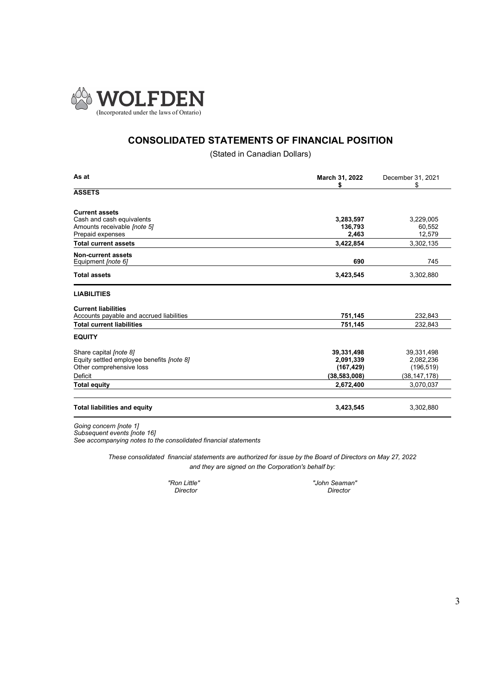

# CONSOLIDATED STATEMENTS OF FINANCIAL POSITION

(Stated in Canadian Dollars)

| As at                                                  | March 31, 2022<br>S | December 31, 2021<br>\$ |  |
|--------------------------------------------------------|---------------------|-------------------------|--|
| <b>ASSETS</b>                                          |                     |                         |  |
| <b>Current assets</b>                                  |                     |                         |  |
| Cash and cash equivalents                              | 3,283,597           | 3,229,005               |  |
| Amounts receivable <i>(note 5)</i><br>Prepaid expenses | 136,793<br>2,463    | 60,552<br>12,579        |  |
| <b>Total current assets</b>                            | 3,422,854           | 3,302,135               |  |
|                                                        |                     |                         |  |
| <b>Non-current assets</b><br>Equipment [note 6]        | 690                 | 745                     |  |
| <b>Total assets</b>                                    | 3,423,545           | 3,302,880               |  |
| <b>LIABILITIES</b>                                     |                     |                         |  |
| <b>Current liabilities</b>                             |                     |                         |  |
| Accounts payable and accrued liabilities               | 751,145             | 232,843                 |  |
| <b>Total current liabilities</b>                       | 751,145             | 232,843                 |  |
| <b>EQUITY</b>                                          |                     |                         |  |
| Share capital <i>(note 8)</i>                          | 39,331,498          | 39,331,498              |  |
| Equity settled employee benefits <i>(note 8)</i>       | 2,091,339           | 2,082,236               |  |
| Other comprehensive loss                               | (167, 429)          | (196, 519)              |  |
| <b>Deficit</b>                                         | (38, 583, 008)      | (38, 147, 178)          |  |
| <b>Total equity</b>                                    | 2,672,400           | 3,070,037               |  |
| <b>Total liabilities and equity</b>                    | 3,423,545           | 3,302,880               |  |
| Going concern (note 1)                                 |                     |                         |  |

Subsequent events [note 16]

See accompanying notes to the consolidated financial statements

These consolidated financial statements are authorized for issue by the Board of Directors on May 27, 2022 and they are signed on the Corporation's behalf by:

Director

"Ron Little" "John Seaman"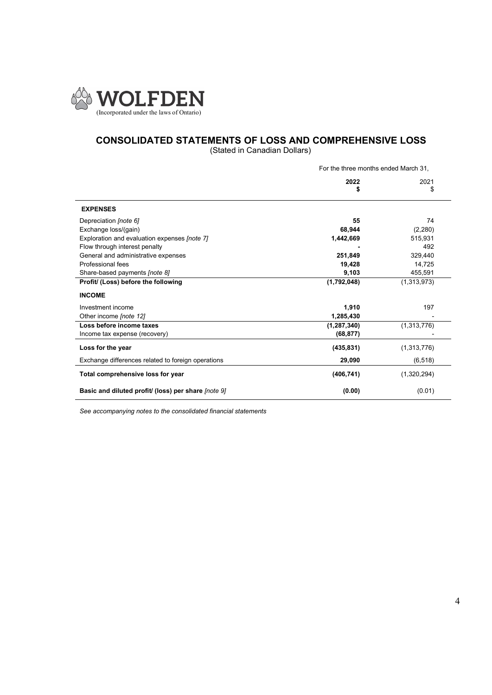

# CONSOLIDATED STATEMENTS OF LOSS AND COMPREHENSIVE LOSS

(Stated in Canadian Dollars)

|                                                                                                                                                                                                                                                                                  | For the three months ended March 31,                                   |                                                                                 |  |
|----------------------------------------------------------------------------------------------------------------------------------------------------------------------------------------------------------------------------------------------------------------------------------|------------------------------------------------------------------------|---------------------------------------------------------------------------------|--|
|                                                                                                                                                                                                                                                                                  | 2022<br>S                                                              | 2021<br>\$                                                                      |  |
| <b>EXPENSES</b>                                                                                                                                                                                                                                                                  |                                                                        |                                                                                 |  |
| Depreciation <i>(note 6)</i><br>Exchange loss/(gain)<br>Exploration and evaluation expenses [note 7]<br>Flow through interest penalty<br>General and administrative expenses<br>Professional fees<br>Share-based payments <i>[note 8]</i><br>Profit/ (Loss) before the following | 55<br>68,944<br>1,442,669<br>251,849<br>19,428<br>9,103<br>(1,792,048) | 74<br>(2, 280)<br>515,931<br>492<br>329,440<br>14,725<br>455,591<br>(1,313,973) |  |
| <b>INCOME</b><br>Investment income<br>Other income (note 12)<br>Loss before income taxes                                                                                                                                                                                         | 1,910<br>1,285,430<br>(1, 287, 340)                                    | 197<br>(1,313,776)                                                              |  |
| Income tax expense (recovery)                                                                                                                                                                                                                                                    | (68, 877)                                                              |                                                                                 |  |
| Loss for the year<br>Exchange differences related to foreign operations                                                                                                                                                                                                          | (435, 831)<br>29,090                                                   | (1,313,776)<br>(6, 518)                                                         |  |
| Total comprehensive loss for year                                                                                                                                                                                                                                                | (406, 741)                                                             | (1,320,294)                                                                     |  |
| Basic and diluted profit/ (loss) per share [note 9]                                                                                                                                                                                                                              | (0.00)                                                                 | (0.01)                                                                          |  |

See accompanying notes to the consolidated financial statements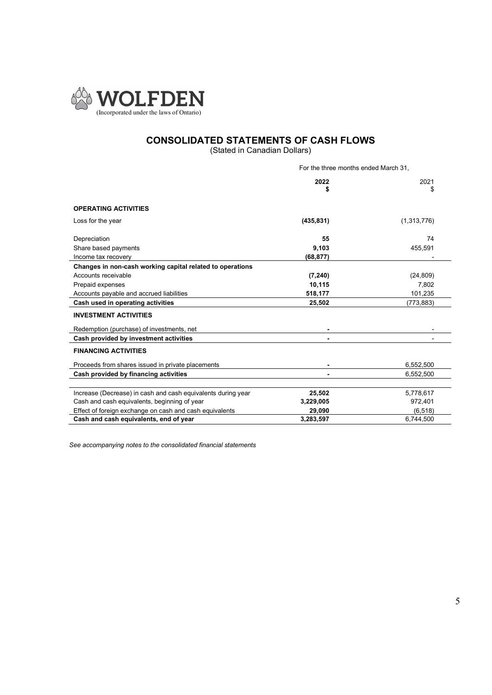

# CONSOLIDATED STATEMENTS OF CASH FLOWS

(Stated in Canadian Dollars)

|                                                              | For the three months ended March 31, |             |  |
|--------------------------------------------------------------|--------------------------------------|-------------|--|
|                                                              | 2022<br>S                            | 2021<br>S   |  |
| <b>OPERATING ACTIVITIES</b>                                  |                                      |             |  |
| Loss for the year                                            | (435, 831)                           | (1,313,776) |  |
| Depreciation                                                 | 55                                   | 74          |  |
| Share based payments                                         | 9,103                                | 455,591     |  |
| Income tax recovery                                          | (68, 877)                            |             |  |
| Changes in non-cash working capital related to operations    |                                      |             |  |
| Accounts receivable                                          | (7, 240)                             | (24, 809)   |  |
| Prepaid expenses                                             | 10,115                               | 7,802       |  |
| Accounts payable and accrued liabilities                     | 518,177                              | 101,235     |  |
| Cash used in operating activities                            | 25,502                               | (773, 883)  |  |
| <b>INVESTMENT ACTIVITIES</b>                                 |                                      |             |  |
| Redemption (purchase) of investments, net                    |                                      |             |  |
| Cash provided by investment activities                       |                                      |             |  |
| <b>FINANCING ACTIVITIES</b>                                  |                                      |             |  |
| Proceeds from shares issued in private placements            |                                      | 6,552,500   |  |
| Cash provided by financing activities                        |                                      | 6,552,500   |  |
|                                                              |                                      |             |  |
| Increase (Decrease) in cash and cash equivalents during year | 25,502                               | 5,778,617   |  |
| Cash and cash equivalents, beginning of year                 | 3,229,005                            | 972,401     |  |
| Effect of foreign exchange on cash and cash equivalents      | 29.090                               | (6, 518)    |  |
| Cash and cash equivalents, end of year                       | 3,283,597                            | 6,744,500   |  |

See accompanying notes to the consolidated financial statements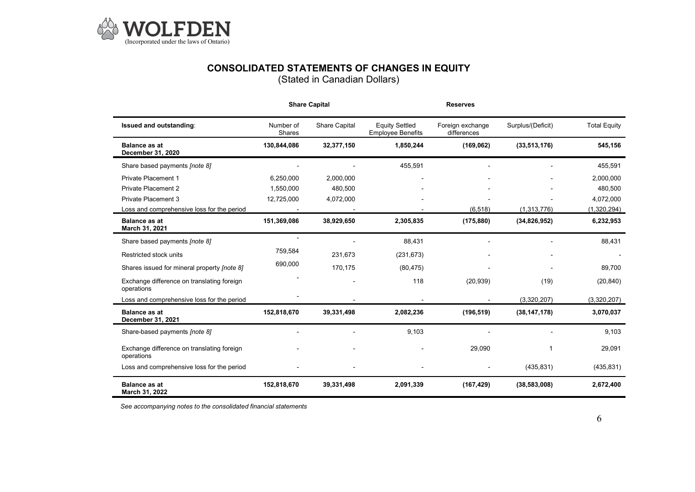

# CONSOLIDATED STATEMENTS OF CHANGES IN EQUITY

(Stated in Canadian Dollars)

|                                                          |                     | <b>Share Capital</b> |                                                   | <b>Reserves</b>                 |                   |                     |
|----------------------------------------------------------|---------------------|----------------------|---------------------------------------------------|---------------------------------|-------------------|---------------------|
| Issued and outstanding:                                  | Number of<br>Shares | <b>Share Capital</b> | <b>Equity Settled</b><br><b>Employee Benefits</b> | Foreign exchange<br>differences | Surplus/(Deficit) | <b>Total Equity</b> |
| <b>Balance as at</b><br>December 31, 2020                | 130,844,086         | 32,377,150           | 1,850,244                                         | (169, 062)                      | (33, 513, 176)    | 545,156             |
| Share based payments <i>(note 8)</i>                     |                     |                      | 455,591                                           |                                 |                   | 455,591             |
| <b>Private Placement 1</b>                               | 6,250,000           | 2,000,000            |                                                   |                                 |                   | 2,000,000           |
| <b>Private Placement 2</b>                               | 1.550.000           | 480.500              |                                                   |                                 |                   | 480,500             |
| <b>Private Placement 3</b>                               | 12,725,000          | 4,072,000            |                                                   |                                 |                   | 4,072,000           |
| Loss and comprehensive loss for the period               |                     |                      |                                                   | (6, 518)                        | (1,313,776)       | (1,320,294)         |
| <b>Balance as at</b><br>March 31, 2021                   | 151,369,086         | 38,929,650           | 2,305,835                                         | (175, 880)                      | (34,826,952)      | 6,232,953           |
| Share based payments [note 8]                            |                     |                      | 88,431                                            |                                 |                   | 88,431              |
| Restricted stock units                                   | 759,584             | 231,673              | (231, 673)                                        |                                 |                   |                     |
| Shares issued for mineral property <i>[note 8]</i>       | 690,000             | 170,175              | (80, 475)                                         |                                 |                   | 89,700              |
| Exchange difference on translating foreign<br>operations |                     |                      | 118                                               | (20, 939)                       | (19)              | (20, 840)           |
| Loss and comprehensive loss for the period               |                     |                      |                                                   |                                 | (3,320,207)       | (3,320,207)         |
| <b>Balance as at</b><br>December 31, 2021                | 152,818,670         | 39,331,498           | 2,082,236                                         | (196, 519)                      | (38, 147, 178)    | 3,070,037           |
| Share-based payments [note 8]                            |                     |                      | 9.103                                             |                                 |                   | 9,103               |
| Exchange difference on translating foreign<br>operations |                     |                      |                                                   | 29,090                          | 1                 | 29,091              |
| Loss and comprehensive loss for the period               |                     |                      |                                                   |                                 | (435, 831)        | (435, 831)          |
| <b>Balance as at</b><br>March 31, 2022                   | 152,818,670         | 39,331,498           | 2,091,339                                         | (167, 429)                      | (38, 583, 008)    | 2,672,400           |

See accompanying notes to the consolidated financial statements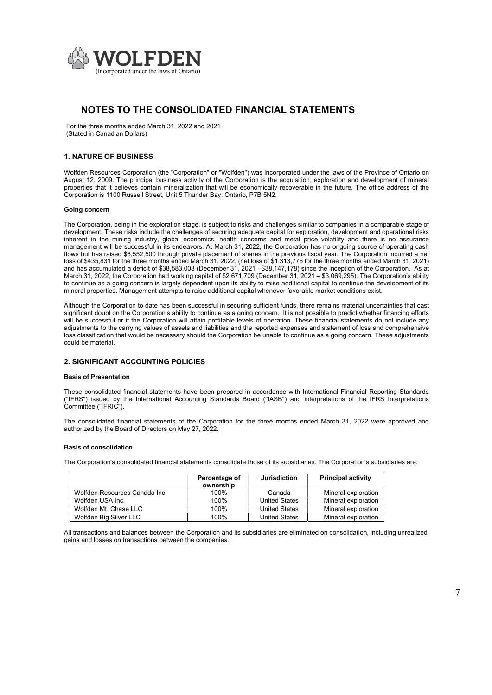

For the three months ended March 31, 2022 and 2021 (Stated in Canadian Dollars)

### 1. NATURE OF BUSINESS

Wolfden Resources Corporation (the "Corporation" or "Wolfden") was incorporated under the laws of the Province of Ontario on August 12, 2009. The principal business activity of the Corporation is the acquisition, exploration and development of mineral properties that it believes contain mineralization that will be economically recoverable in the future. The office address of the Corporation is 1100 Russell Street, Unit 5 Thunder Bay, Ontario, P7B 5N2.

#### Going concern

The Corporation, being in the exploration stage, is subject to risks and challenges similar to companies in a comparable stage of development. These risks include the challenges of securing adequate capital for exploration, development and operational risks inherent in the mining industry, global economics, health concerns and metal price volatility and there is no assurance management will be successful in its endeavors. At March 31, 2022, the Corporation has no ongoing source of operating cash flows but has raised \$6,552,500 through private placement of shares in the previous fiscal year. The Corporation incurred a net loss of \$435,831 for the three months ended March 31, 2022, (net loss of \$1,313,776 for the three months ended March 31, 2021) and has accumulated a deficit of \$38,583,008 (December 31, 2021 - \$38,147,178) since the inception of the Corporation. As at March 31, 2022, the Corporation had working capital of \$2,671,709 (December 31, 2021 – \$3,069,295). The Corporation's ability to continue as a going concern is largely dependent upon its ability to raise additional capital to continue the development of its mineral properties. Management attempts to raise additional capital whenever favorable market conditions exist.

Although the Corporation to date has been successful in securing sufficient funds, there remains material uncertainties that cast significant doubt on the Corporation's ability to continue as a going concern. It is not possible to predict whether financing efforts will be successful or if the Corporation will attain profitable levels of operation. These financial statements do not include any adjustments to the carrying values of assets and liabilities and the reported expenses and statement of loss and comprehensive loss classification that would be necessary should the Corporation be unable to continue as a going concern. These adjustments could be material.

### 2. SIGNIFICANT ACCOUNTING POLICIES

#### Basis of Presentation

These consolidated financial statements have been prepared in accordance with International Financial Reporting Standards ("IFRS") issued by the International Accounting Standards Board ("IASB") and interpretations of the IFRS Interpretations Committee ("IFRIC").

The consolidated financial statements of the Corporation for the three months ended March 31, 2022 were approved and authorized by the Board of Directors on May 27, 2022.

#### Basis of consolidation

The Corporation's consolidated financial statements consolidate those of its subsidiaries. The Corporation's subsidiaries are:

|                               | Percentage of<br>ownership | <b>Jurisdiction</b>  | <b>Principal activity</b> |
|-------------------------------|----------------------------|----------------------|---------------------------|
| Wolfden Resources Canada Inc. | 100%                       | Canada               | Mineral exploration       |
| Wolfden USA Inc.              | 100%                       | <b>United States</b> | Mineral exploration       |
| Wolfden Mt. Chase LLC         | 100%                       | <b>United States</b> | Mineral exploration       |
| Wolfden Big Silver LLC        | 100%                       | <b>United States</b> | Mineral exploration       |

All transactions and balances between the Corporation and its subsidiaries are eliminated on consolidation, including unrealized gains and losses on transactions between the companies.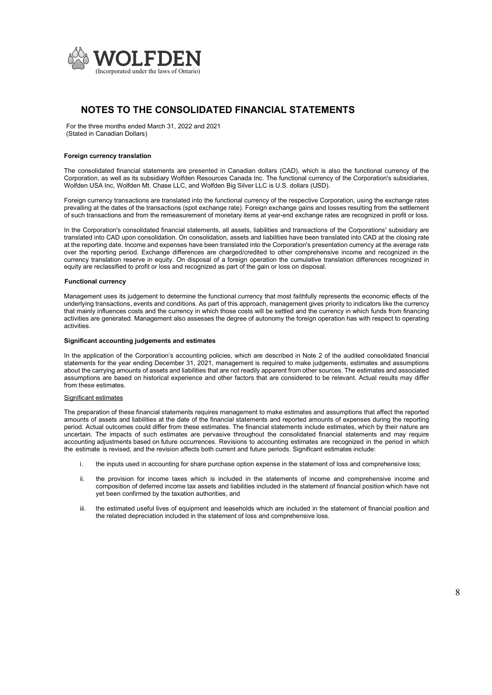

For the three months ended March 31, 2022 and 2021 (Stated in Canadian Dollars)

#### Foreign currency translation

The consolidated financial statements are presented in Canadian dollars (CAD), which is also the functional currency of the Corporation, as well as its subsidiary Wolfden Resources Canada Inc. The functional currency of the Corporation's subsidiaries, Wolfden USA Inc, Wolfden Mt. Chase LLC, and Wolfden Big Silver LLC is U.S. dollars (USD).

Foreign currency transactions are translated into the functional currency of the respective Corporation, using the exchange rates prevailing at the dates of the transactions (spot exchange rate). Foreign exchange gains and losses resulting from the settlement of such transactions and from the remeasurement of monetary items at year-end exchange rates are recognized in profit or loss.

In the Corporation's consolidated financial statements, all assets, liabilities and transactions of the Corporations' subsidiary are translated into CAD upon consolidation. On consolidation, assets and liabilities have been translated into CAD at the closing rate at the reporting date. Income and expenses have been translated into the Corporation's presentation currency at the average rate over the reporting period. Exchange differences are charged/credited to other comprehensive income and recognized in the currency translation reserve in equity. On disposal of a foreign operation the cumulative translation differences recognized in equity are reclassified to profit or loss and recognized as part of the gain or loss on disposal.

#### Functional currency

Management uses its judgement to determine the functional currency that most faithfully represents the economic effects of the underlying transactions, events and conditions. As part of this approach, management gives priority to indicators like the currency that mainly influences costs and the currency in which those costs will be settled and the currency in which funds from financing activities are generated. Management also assesses the degree of autonomy the foreign operation has with respect to operating activities.

#### Significant accounting judgements and estimates

In the application of the Corporation's accounting policies, which are described in Note 2 of the audited consolidated financial statements for the year ending December 31, 2021, management is required to make judgements, estimates and assumptions about the carrying amounts of assets and liabilities that are not readily apparent from other sources. The estimates and associated assumptions are based on historical experience and other factors that are considered to be relevant. Actual results may differ from these estimates.

#### Significant estimates

The preparation of these financial statements requires management to make estimates and assumptions that affect the reported amounts of assets and liabilities at the date of the financial statements and reported amounts of expenses during the reporting period. Actual outcomes could differ from these estimates. The financial statements include estimates, which by their nature are uncertain. The impacts of such estimates are pervasive throughout the consolidated financial statements and may require accounting adjustments based on future occurrences. Revisions to accounting estimates are recognized in the period in which the estimate is revised, and the revision affects both current and future periods. Significant estimates include:

- i. the inputs used in accounting for share purchase option expense in the statement of loss and comprehensive loss;
- ii. the provision for income taxes which is included in the statements of income and comprehensive income and composition of deferred income tax assets and liabilities included in the statement of financial position which have not yet been confirmed by the taxation authorities, and
- iii. the estimated useful lives of equipment and leaseholds which are included in the statement of financial position and the related depreciation included in the statement of loss and comprehensive loss.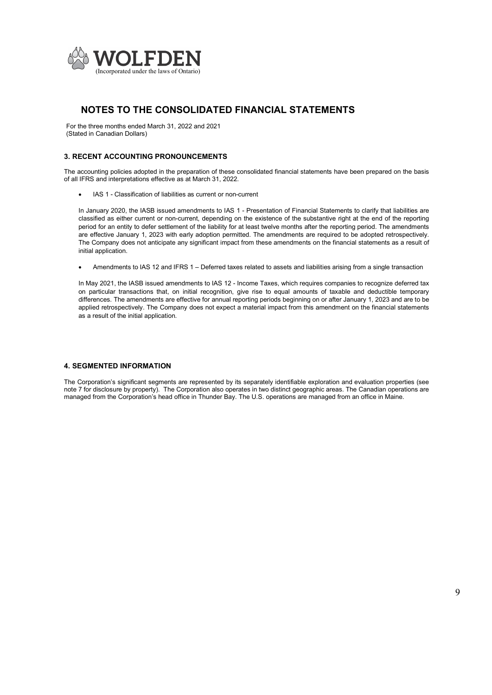

For the three months ended March 31, 2022 and 2021 (Stated in Canadian Dollars)

### 3. RECENT ACCOUNTING PRONOUNCEMENTS

The accounting policies adopted in the preparation of these consolidated financial statements have been prepared on the basis of all IFRS and interpretations effective as at March 31, 2022.

IAS 1 - Classification of liabilities as current or non-current

In January 2020, the IASB issued amendments to IAS 1 - Presentation of Financial Statements to clarify that liabilities are classified as either current or non-current, depending on the existence of the substantive right at the end of the reporting period for an entity to defer settlement of the liability for at least twelve months after the reporting period. The amendments are effective January 1, 2023 with early adoption permitted. The amendments are required to be adopted retrospectively. The Company does not anticipate any significant impact from these amendments on the financial statements as a result of initial application.

Amendments to IAS 12 and IFRS 1 – Deferred taxes related to assets and liabilities arising from a single transaction

In May 2021, the IASB issued amendments to IAS 12 - Income Taxes, which requires companies to recognize deferred tax on particular transactions that, on initial recognition, give rise to equal amounts of taxable and deductible temporary differences. The amendments are effective for annual reporting periods beginning on or after January 1, 2023 and are to be applied retrospectively. The Company does not expect a material impact from this amendment on the financial statements as a result of the initial application.

### 4. SEGMENTED INFORMATION

The Corporation's significant segments are represented by its separately identifiable exploration and evaluation properties (see note 7 for disclosure by property). The Corporation also operates in two distinct geographic areas. The Canadian operations are managed from the Corporation's head office in Thunder Bay. The U.S. operations are managed from an office in Maine.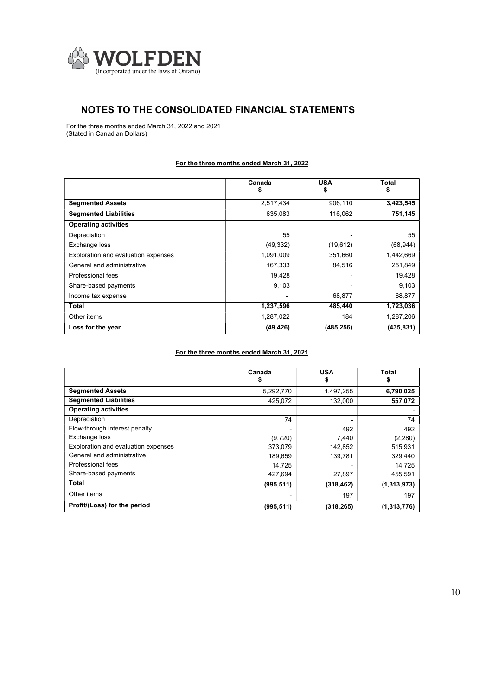

For the three months ended March 31, 2022 and 2021 (Stated in Canadian Dollars)

### For the three months ended March 31, 2022

|                                     | Canada    | <b>USA</b><br>5 | Total<br>\$ |
|-------------------------------------|-----------|-----------------|-------------|
| <b>Segmented Assets</b>             | 2,517,434 | 906,110         | 3,423,545   |
| <b>Segmented Liabilities</b>        | 635,083   | 116,062         | 751,145     |
| <b>Operating activities</b>         |           |                 |             |
| Depreciation                        | 55        |                 | 55          |
| Exchange loss                       | (49, 332) | (19, 612)       | (68, 944)   |
| Exploration and evaluation expenses | 1,091,009 | 351,660         | 1,442,669   |
| General and administrative          | 167,333   | 84,516          | 251,849     |
| Professional fees                   | 19,428    |                 | 19,428      |
| Share-based payments                | 9,103     |                 | 9,103       |
| Income tax expense                  |           | 68,877          | 68,877      |
| Total                               | 1,237,596 | 485,440         | 1,723,036   |
| Other items                         | 1,287,022 | 184             | 1,287,206   |
| Loss for the year                   | (49, 426) | (485, 256)      | (435, 831)  |

# For the three months ended March 31, 2021

|                                     | Canada<br>ъ | <b>USA</b><br>\$ | Total<br>Þ. |
|-------------------------------------|-------------|------------------|-------------|
| <b>Segmented Assets</b>             | 5,292,770   | 1,497,255        | 6,790,025   |
| <b>Segmented Liabilities</b>        | 425,072     | 132,000          | 557,072     |
| <b>Operating activities</b>         |             |                  |             |
| Depreciation                        | 74          |                  | 74          |
| Flow-through interest penalty       |             | 492              | 492         |
| Exchange loss                       | (9,720)     | 7,440            | (2,280)     |
| Exploration and evaluation expenses | 373,079     | 142,852          | 515,931     |
| General and administrative          | 189,659     | 139,781          | 329,440     |
| Professional fees                   | 14,725      |                  | 14,725      |
| Share-based payments                | 427,694     | 27,897           | 455,591     |
| Total                               | (995, 511)  | (318, 462)       | (1,313,973) |
| Other items                         |             | 197              | 197         |
| Profit/(Loss) for the period        | (995, 511)  | (318, 265)       | (1,313,776) |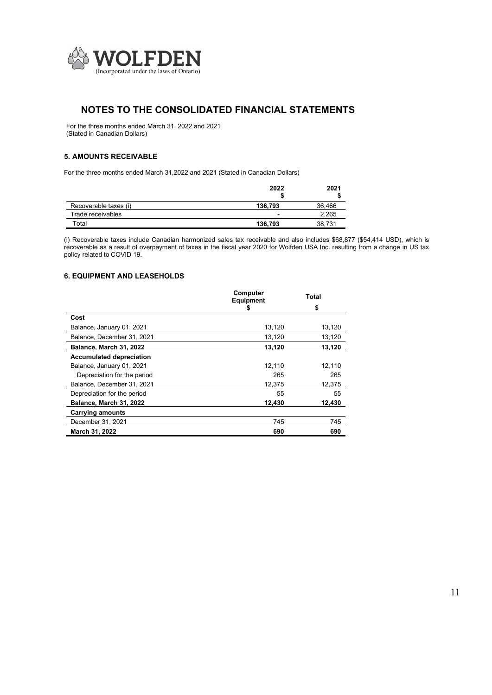

For the three months ended March 31, 2022 and 2021 (Stated in Canadian Dollars)

### 5. AMOUNTS RECEIVABLE

For the three months ended March 31,2022 and 2021 (Stated in Canadian Dollars)

|                       | 2022    | 2021   |
|-----------------------|---------|--------|
| Recoverable taxes (i) | 136.793 | 36,466 |
| Trade receivables     |         | 2.265  |
| Total                 | 136,793 | 38,731 |

(i) Recoverable taxes include Canadian harmonized sales tax receivable and also includes \$68,877 (\$54,414 USD), which is recoverable as a result of overpayment of taxes in the fiscal year 2020 for Wolfden USA Inc. resulting from a change in US tax policy related to COVID 19.

### 6. EQUIPMENT AND LEASEHOLDS

|                                 | Computer<br><b>Equipment</b> | Total  |
|---------------------------------|------------------------------|--------|
|                                 |                              | \$     |
| Cost                            |                              |        |
| Balance, January 01, 2021       | 13,120                       | 13,120 |
| Balance, December 31, 2021      | 13,120                       | 13,120 |
| Balance, March 31, 2022         | 13,120                       | 13,120 |
| <b>Accumulated depreciation</b> |                              |        |
| Balance, January 01, 2021       | 12.110                       | 12,110 |
| Depreciation for the period     | 265                          | 265    |
| Balance, December 31, 2021      | 12.375                       | 12,375 |
| Depreciation for the period     | 55                           | 55     |
| Balance, March 31, 2022         | 12,430                       | 12,430 |
| <b>Carrying amounts</b>         |                              |        |
| December 31, 2021               | 745                          | 745    |
| March 31, 2022                  | 690                          | 690    |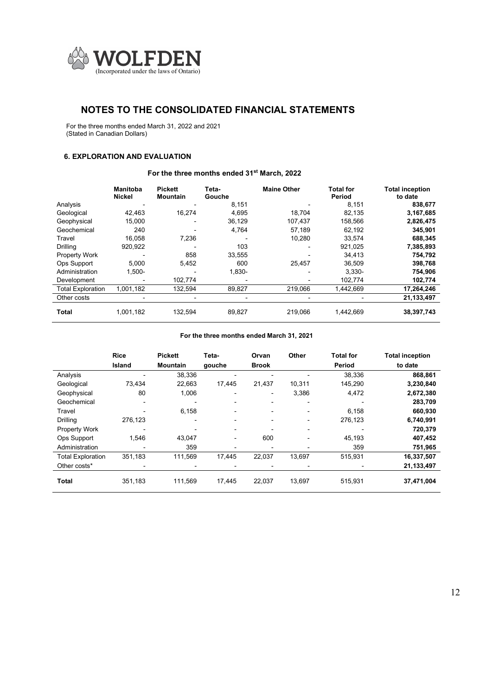

For the three months ended March 31, 2022 and 2021 (Stated in Canadian Dollars)

### 6. EXPLORATION AND EVALUATION

### For the three months ended 31<sup>st</sup> March, 2022

|                          | <b>Manitoba</b><br>Nickel | <b>Pickett</b><br><b>Mountain</b> | Teta-<br>Gouche | <b>Maine Other</b> | <b>Total for</b><br>Period | <b>Total inception</b><br>to date |
|--------------------------|---------------------------|-----------------------------------|-----------------|--------------------|----------------------------|-----------------------------------|
| Analysis                 |                           |                                   | 8,151           |                    | 8.151                      | 838,677                           |
| Geological               | 42.463                    | 16.274                            | 4,695           | 18.704             | 82.135                     | 3,167,685                         |
| Geophysical              | 15.000                    |                                   | 36,129          | 107.437            | 158.566                    | 2,826,475                         |
| Geochemical              | 240                       |                                   | 4,764           | 57,189             | 62,192                     | 345,901                           |
| Travel                   | 16.058                    | 7,236                             |                 | 10,280             | 33.574                     | 688,345                           |
| Drilling                 | 920,922                   |                                   | 103             |                    | 921,025                    | 7,385,893                         |
| Property Work            |                           | 858                               | 33,555          |                    | 34,413                     | 754,792                           |
| Ops Support              | 5.000                     | 5,452                             | 600             | 25.457             | 36.509                     | 398,768                           |
| Administration           | $1.500 -$                 |                                   | 1,830-          |                    | $3.330 -$                  | 754,906                           |
| Development              |                           | 102,774                           |                 |                    | 102,774                    | 102,774                           |
| <b>Total Exploration</b> | 1,001,182                 | 132,594                           | 89,827          | 219,066            | 1,442,669                  | 17,264,246                        |
| Other costs              |                           |                                   |                 |                    |                            | 21,133,497                        |
| Total                    | 1,001,182                 | 132,594                           | 89,827          | 219,066            | 1,442,669                  | 38,397,743                        |

### For the three months ended March 31, 2021

|                          | <b>Rice</b> | <b>Pickett</b>           | Teta-                    | Orvan        | Other                    | <b>Total for</b> | <b>Total inception</b> |
|--------------------------|-------------|--------------------------|--------------------------|--------------|--------------------------|------------------|------------------------|
|                          | Island      | <b>Mountain</b>          | gouche                   | <b>Brook</b> |                          | Period           | to date                |
| Analysis                 |             | 38,336                   |                          |              |                          | 38,336           | 868,861                |
| Geological               | 73,434      | 22,663                   | 17,445                   | 21,437       | 10,311                   | 145,290          | 3,230,840              |
| Geophysical              | 80          | 1,006                    | $\overline{\phantom{0}}$ | -            | 3,386                    | 4,472            | 2,672,380              |
| Geochemical              |             |                          |                          |              |                          |                  | 283,709                |
| Travel                   |             | 6,158                    | $\overline{\phantom{0}}$ |              | $\blacksquare$           | 6,158            | 660,930                |
| Drilling                 | 276,123     |                          |                          |              |                          | 276,123          | 6,740,991              |
| <b>Property Work</b>     |             |                          |                          |              |                          |                  | 720,379                |
| Ops Support              | 1.546       | 43,047                   | $\blacksquare$           | 600          | $\overline{\phantom{0}}$ | 45,193           | 407,452                |
| Administration           |             | 359                      |                          |              |                          | 359              | 751,965                |
| <b>Total Exploration</b> | 351,183     | 111,569                  | 17,445                   | 22,037       | 13,697                   | 515,931          | 16,337,507             |
| Other costs*             |             | $\overline{\phantom{0}}$ |                          |              |                          |                  | 21,133,497             |
| Total                    | 351,183     | 111,569                  | 17,445                   | 22,037       | 13.697                   | 515,931          | 37,471,004             |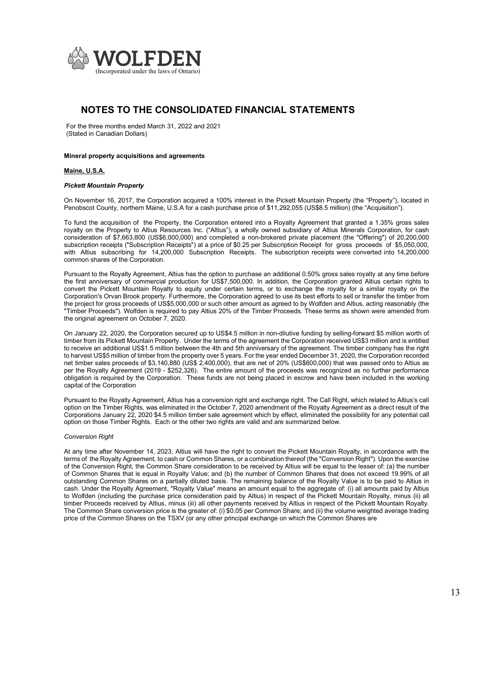

For the three months ended March 31, 2022 and 2021 (Stated in Canadian Dollars)

#### Mineral property acquisitions and agreements

#### Maine, U.S.A.

#### Pickett Mountain Property

On November 16, 2017, the Corporation acquired a 100% interest in the Pickett Mountain Property (the "Property"), located in Penobscot County, northern Maine, U.S.A for a cash purchase price of \$11,292,055 (US\$8.5 million) (the "Acquisition").

To fund the acquisition of the Property, the Corporation entered into a Royalty Agreement that granted a 1.35% gross sales royalty on the Property to Altius Resources Inc. ("Altius"), a wholly owned subsidiary of Altius Minerals Corporation, for cash consideration of \$7,663,800 (US\$6,000,000) and completed a non-brokered private placement (the "Offering") of 20,200,000 subscription receipts ("Subscription Receipts") at a price of \$0.25 per Subscription Receipt for gross proceeds of \$5,050,000, with Altius subscribing for 14,200,000 Subscription Receipts. The subscription receipts were converted into 14,200,000 common shares of the Corporation.

Pursuant to the Royalty Agreement, Altius has the option to purchase an additional 0.50% gross sales royalty at any time before the first anniversary of commercial production for US\$7,500,000. In addition, the Corporation granted Altius certain rights to convert the Pickett Mountain Royalty to equity under certain terms, or to exchange the royalty for a similar royalty on the Corporation's Orvan Brook property. Furthermore, the Corporation agreed to use its best efforts to sell or transfer the timber from the project for gross proceeds of US\$5,000,000 or such other amount as agreed to by Wolfden and Altius, acting reasonably (the "Timber Proceeds"). Wolfden is required to pay Altius 20% of the Timber Proceeds. These terms as shown were amended from the original agreement on October 7, 2020.

On January 22, 2020, the Corporation secured up to US\$4.5 million in non-dilutive funding by selling-forward \$5 million worth of timber from its Pickett Mountain Property. Under the terms of the agreement the Corporation received US\$3 million and is entitled to receive an additional US\$1.5 million between the 4th and 5th anniversary of the agreement. The timber company has the right to harvest US\$5 million of timber from the property over 5 years. For the year ended December 31, 2020, the Corporation recorded net timber sales proceeds of \$3,140,880 (US\$ 2,400,000), that are net of 20% (US\$600,000) that was passed onto to Altius as per the Royalty Agreement (2019 - \$252,326). The entire amount of the proceeds was recognized as no further performance obligation is required by the Corporation. These funds are not being placed in escrow and have been included in the working capital of the Corporation

Pursuant to the Royalty Agreement, Altius has a conversion right and exchange right. The Call Right, which related to Altius's call option on the Timber Rights, was eliminated in the October 7, 2020 amendment of the Royalty Agreement as a direct result of the Corporations January 22, 2020 \$4.5 million timber sale agreement which by effect, eliminated the possibility for any potential call option on those Timber Rights. Each or the other two rights are valid and are summarized below.

#### Conversion Right

At any time after November 14, 2023, Altius will have the right to convert the Pickett Mountain Royalty, in accordance with the terms of the Royalty Agreement, to cash or Common Shares, or a combination thereof (the "Conversion Right"). Upon the exercise of the Conversion Right, the Common Share consideration to be received by Altius will be equal to the lesser of: (a) the number of Common Shares that is equal in Royalty Value; and (b) the number of Common Shares that does not exceed 19.99% of all outstanding Common Shares on a partially diluted basis. The remaining balance of the Royalty Value is to be paid to Altius in cash. Under the Royalty Agreement, "Royalty Value" means an amount equal to the aggregate of: (i) all amounts paid by Altius to Wolfden (including the purchase price consideration paid by Altius) in respect of the Pickett Mountain Royalty, minus (ii) all timber Proceeds received by Altius, minus (iii) all other payments received by Altius in respect of the Pickett Mountain Royalty. The Common Share conversion price is the greater of: (i) \$0.05 per Common Share; and (ii) the volume weighted average trading price of the Common Shares on the TSXV (or any other principal exchange on which the Common Shares are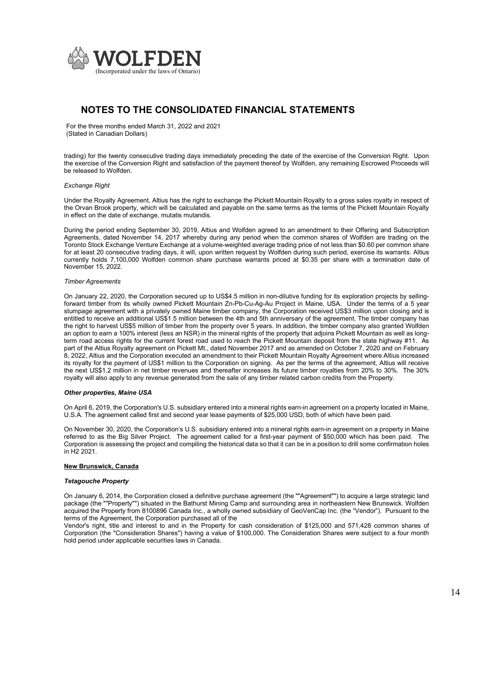

For the three months ended March 31, 2022 and 2021 (Stated in Canadian Dollars)

trading) for the twenty consecutive trading days immediately preceding the date of the exercise of the Conversion Right. Upon the exercise of the Conversion Right and satisfaction of the payment thereof by Wolfden, any remaining Escrowed Proceeds will be released to Wolfden.

#### Exchange Right

Under the Royalty Agreement, Altius has the right to exchange the Pickett Mountain Royalty to a gross sales royalty in respect of the Orvan Brook property, which will be calculated and payable on the same terms as the terms of the Pickett Mountain Royalty in effect on the date of exchange, mutatis mutandis.

During the period ending September 30, 2019, Altius and Wolfden agreed to an amendment to their Offering and Subscription Agreements, dated November 14, 2017 whereby during any period when the common shares of Wolfden are trading on the Toronto Stock Exchange Venture Exchange at a volume-weighted average trading price of not less than \$0.60 per common share for at least 20 consecutive trading days, it will, upon written request by Wolfden during such period, exercise its warrants. Altius currently holds 7,100,000 Wolfden common share purchase warrants priced at \$0.35 per share with a termination date of November 15, 2022.

#### Timber Agreements

On January 22, 2020, the Corporation secured up to US\$4.5 million in non-dilutive funding for its exploration projects by sellingforward timber from its wholly owned Pickett Mountain Zn-Pb-Cu-Ag-Au Project in Maine, USA. Under the terms of a 5 year stumpage agreement with a privately owned Maine timber company, the Corporation received US\$3 million upon closing and is entitled to receive an additional US\$1.5 million between the 4th and 5th anniversary of the agreement. The timber company has the right to harvest US\$5 million of timber from the property over 5 years. In addition, the timber company also granted Wolfden an option to earn a 100% interest (less an NSR) in the mineral rights of the property that adjoins Pickett Mountain as well as longterm road access rights for the current forest road used to reach the Pickett Mountain deposit from the state highway #11. As part of the Altius Royalty agreement on Pickett Mt., dated November 2017 and as amended on October 7, 2020 and on February 8, 2022, Altius and the Corporation executed an amendment to their Pickett Mountain Royalty Agreement where Altius increased its royalty for the payment of US\$1 million to the Corporation on signing. As per the terms of the agreement, Altius will receive the next US\$1.2 million in net timber revenues and thereafter increases its future timber royalties from 20% to 30%. The 30% royalty will also apply to any revenue generated from the sale of any timber related carbon credits from the Property.

#### Other properties, Maine USA

On April 6, 2019, the Corporation's U.S. subsidiary entered into a mineral rights earn-in agreement on a property located in Maine, U.S.A. The agreement called first and second year lease payments of \$25,000 USD, both of which have been paid.

On November 30, 2020, the Corporation's U.S. subsidiary entered into a mineral rights earn-in agreement on a property in Maine referred to as the Big Silver Project. The agreement called for a first-year payment of \$50,000 which has been paid. The Corporation is assessing the project and compiling the historical data so that it can be in a position to drill some confirmation holes in H2 2021.

### New Brunswick, Canada

#### Tetagouche Property

On January 6, 2014, the Corporation closed a definitive purchase agreement (the ""Agreement"") to acquire a large strategic land package (the ""Property"") situated in the Bathurst Mining Camp and surrounding area in northeastern New Brunswick. Wolfden acquired the Property from 8100896 Canada Inc., a wholly owned subsidiary of GeoVenCap Inc. (the "Vendor"). Pursuant to the terms of the Agreement, the Corporation purchased all of the

Vendor's right, title and interest to and in the Property for cash consideration of \$125,000 and 571,428 common shares of Corporation (the "Consideration Shares") having a value of \$100,000. The Consideration Shares were subject to a four month hold period under applicable securities laws in Canada.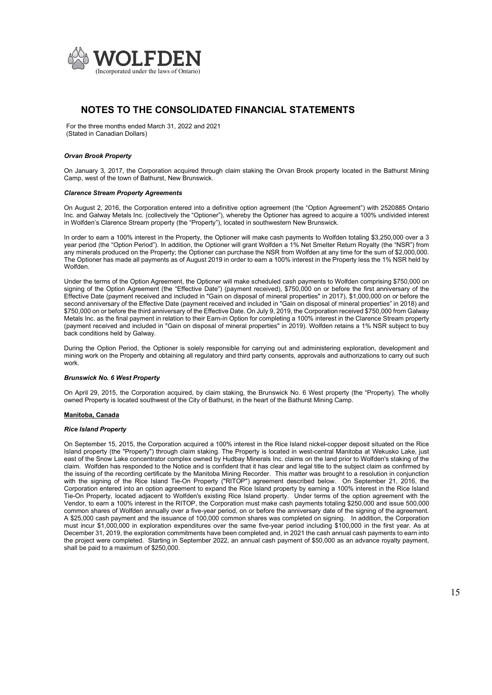

For the three months ended March 31, 2022 and 2021 (Stated in Canadian Dollars)

#### Orvan Brook Property

On January 3, 2017, the Corporation acquired through claim staking the Orvan Brook property located in the Bathurst Mining Camp, west of the town of Bathurst, New Brunswick.

#### Clarence Stream Property Agreements

On August 2, 2016, the Corporation entered into a definitive option agreement (the "Option Agreement") with 2520885 Ontario Inc. and Galway Metals Inc. (collectively the "Optioner"), whereby the Optioner has agreed to acquire a 100% undivided interest in Wolfden's Clarence Stream property (the "Property"), located in southwestern New Brunswick.

In order to earn a 100% interest in the Property, the Optioner will make cash payments to Wolfden totaling \$3,250,000 over a 3 year period (the "Option Period"). In addition, the Optioner will grant Wolfden a 1% Net Smelter Return Royalty (the "NSR") from any minerals produced on the Property; the Optioner can purchase the NSR from Wolfden at any time for the sum of \$2,000,000. The Optioner has made all payments as of August 2019 in order to earn a 100% interest in the Property less the 1% NSR held by Wolfden.

Under the terms of the Option Agreement, the Optioner will make scheduled cash payments to Wolfden comprising \$750,000 on signing of the Option Agreement (the "Effective Date") (payment received), \$750,000 on or before the first anniversary of the Effective Date (payment received and included in "Gain on disposal of mineral properties" in 2017), \$1,000,000 on or before the second anniversary of the Effective Date (payment received and included in "Gain on disposal of mineral properties" in 2018) and \$750,000 on or before the third anniversary of the Effective Date. On July 9, 2019, the Corporation received \$750,000 from Galway Metals Inc. as the final payment in relation to their Earn-in Option for completing a 100% interest in the Clarence Stream property (payment received and included in "Gain on disposal of mineral properties" in 2019). Wolfden retains a 1% NSR subject to buy back conditions held by Galway.

During the Option Period, the Optioner is solely responsible for carrying out and administering exploration, development and mining work on the Property and obtaining all regulatory and third party consents, approvals and authorizations to carry out such work.

#### Brunswick No. 6 West Property

On April 29, 2015, the Corporation acquired, by claim staking, the Brunswick No. 6 West property (the "Property). The wholly owned Property is located southwest of the City of Bathurst, in the heart of the Bathurst Mining Camp.

#### Manitoba, Canada

#### Rice Island Property

On September 15, 2015, the Corporation acquired a 100% interest in the Rice Island nickel-copper deposit situated on the Rice Island property (the "Property") through claim staking. The Property is located in west-central Manitoba at Wekusko Lake, just east of the Snow Lake concentrator complex owned by Hudbay Minerals Inc. claims on the land prior to Wolfden's staking of the claim. Wolfden has responded to the Notice and is confident that it has clear and legal title to the subject claim as confirmed by the issuing of the recording certificate by the Manitoba Mining Recorder. This matter was brought to a resolution in conjunction with the signing of the Rice Island Tie-On Property ("RITOP") agreement described below. On September 21, 2016, the Corporation entered into an option agreement to expand the Rice Island property by earning a 100% interest in the Rice Island Tie-On Property, located adjacent to Wolfden's existing Rice Island property. Under terms of the option agreement with the Vendor, to earn a 100% interest in the RITOP, the Corporation must make cash payments totaling \$250,000 and issue 500,000 common shares of Wolfden annually over a five-year period, on or before the anniversary date of the signing of the agreement. A \$25,000 cash payment and the issuance of 100,000 common shares was completed on signing. In addition, the Corporation must incur \$1,000,000 in exploration expenditures over the same five-year period including \$100,000 in the first year. As at December 31, 2019, the exploration commitments have been completed and, in 2021 the cash annual cash payments to earn into the project were completed. Starting in September 2022, an annual cash payment of \$50,000 as an advance royalty payment, shall be paid to a maximum of \$250,000.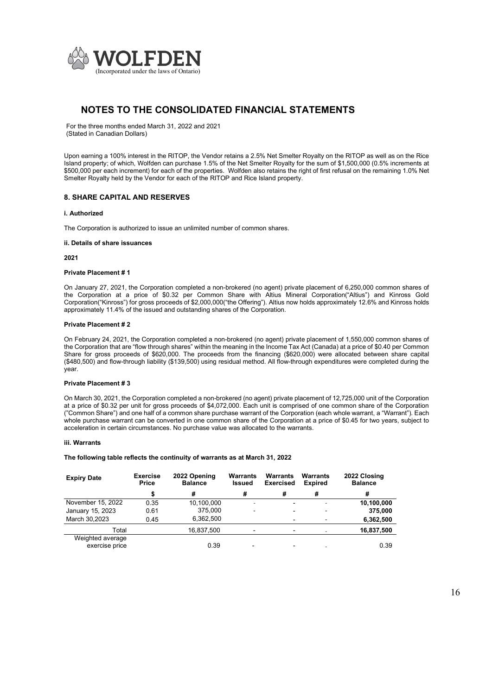

For the three months ended March 31, 2022 and 2021 (Stated in Canadian Dollars)

Upon earning a 100% interest in the RITOP, the Vendor retains a 2.5% Net Smelter Royalty on the RITOP as well as on the Rice Island property; of which, Wolfden can purchase 1.5% of the Net Smelter Royalty for the sum of \$1,500,000 (0.5% increments at \$500,000 per each increment) for each of the properties. Wolfden also retains the right of first refusal on the remaining 1.0% Net Smelter Royalty held by the Vendor for each of the RITOP and Rice Island property.

### 8. SHARE CAPITAL AND RESERVES

#### i. Authorized

The Corporation is authorized to issue an unlimited number of common shares.

#### ii. Details of share issuances

2021

#### Private Placement # 1

On January 27, 2021, the Corporation completed a non-brokered (no agent) private placement of 6,250,000 common shares of the Corporation at a price of \$0.32 per Common Share with Altius Mineral Corporation("Altius") and Kinross Gold Corporation("Kinross") for gross proceeds of \$2,000,000("the Offering"). Altius now holds approximately 12.6% and Kinross holds approximately 11.4% of the issued and outstanding shares of the Corporation.

#### Private Placement # 2

On February 24, 2021, the Corporation completed a non-brokered (no agent) private placement of 1,550,000 common shares of the Corporation that are "flow through shares" within the meaning in the Income Tax Act (Canada) at a price of \$0.40 per Common Share for gross proceeds of \$620,000. The proceeds from the financing (\$620,000) were allocated between share capital (\$480,500) and flow-through liability (\$139,500) using residual method. All flow-through expenditures were completed during the year.

#### Private Placement # 3

On March 30, 2021, the Corporation completed a non-brokered (no agent) private placement of 12,725,000 unit of the Corporation at a price of \$0.32 per unit for gross proceeds of \$4,072,000. Each unit is comprised of one common share of the Corporation ("Common Share") and one half of a common share purchase warrant of the Corporation (each whole warrant, a "Warrant"). Each whole purchase warrant can be converted in one common share of the Corporation at a price of \$0.45 for two years, subject to acceleration in certain circumstances. No purchase value was allocated to the warrants.

#### iii. Warrants

#### The following table reflects the continuity of warrants as at March 31, 2022

| <b>Expiry Date</b>                 | <b>Exercise</b><br>Price | 2022 Opening<br><b>Warrants</b><br><b>Balance</b><br><b>Issued</b> |                | Warrants<br><b>Exercised</b> | Warrants<br><b>Expired</b> | 2022 Closing<br><b>Balance</b> |
|------------------------------------|--------------------------|--------------------------------------------------------------------|----------------|------------------------------|----------------------------|--------------------------------|
|                                    |                          | #                                                                  | #              | #                            | #                          | #                              |
| November 15, 2022                  | 0.35                     | 10,100,000                                                         |                | $\overline{\phantom{0}}$     |                            | 10,100,000                     |
| January 15, 2023                   | 0.61                     | 375,000                                                            |                | -                            |                            | 375.000                        |
| March 30,2023                      | 0.45                     | 6,362,500                                                          |                | -                            |                            | 6,362,500                      |
| Total                              |                          | 16,837,500                                                         |                |                              |                            | 16,837,500                     |
| Weighted average<br>exercise price |                          | 0.39                                                               | $\blacksquare$ |                              |                            | 0.39                           |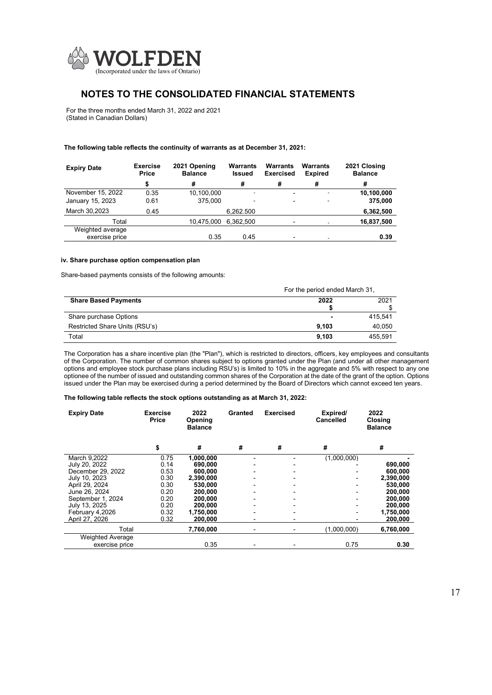

For the three months ended March 31, 2022 and 2021 (Stated in Canadian Dollars)

#### The following table reflects the continuity of warrants as at December 31, 2021:

| <b>Expiry Date</b> | <b>Exercise</b><br><b>Price</b> | 2021 Opening<br><b>Balance</b> | Warrants<br><b>Issued</b> | <b>Warrants</b><br><b>Exercised</b> | Warrants<br><b>Expired</b> | 2021 Closing<br><b>Balance</b> |
|--------------------|---------------------------------|--------------------------------|---------------------------|-------------------------------------|----------------------------|--------------------------------|
|                    | \$                              | #                              | #                         | #                                   | #                          | #                              |
| November 15, 2022  | 0.35                            | 10.100.000                     | ۰.                        | $\overline{\phantom{0}}$            | ۰                          | 10.100.000                     |
| January 15, 2023   | 0.61                            | 375.000                        | $\overline{\phantom{a}}$  | $\overline{\phantom{0}}$            | $\blacksquare$             | 375,000                        |
| March 30,2023      | 0.45                            |                                | 6,262.500                 |                                     |                            | 6,362,500                      |
| Total              |                                 | 10,475,000                     | 6.362.500                 |                                     |                            | 16,837,500                     |
| Weighted average   |                                 |                                |                           |                                     |                            |                                |
| exercise price     |                                 | 0.35                           | 0.45                      |                                     |                            | 0.39                           |

#### iv. Share purchase option compensation plan

Share-based payments consists of the following amounts:

|                                | For the period ended March 31, |         |  |
|--------------------------------|--------------------------------|---------|--|
| <b>Share Based Payments</b>    | 2022                           | 2021    |  |
|                                |                                |         |  |
| Share purchase Options         |                                | 415.541 |  |
| Restricted Share Units (RSU's) | 9.103                          | 40,050  |  |
| Total                          | 9.103                          | 455.591 |  |

The Corporation has a share incentive plan (the "Plan"), which is restricted to directors, officers, key employees and consultants of the Corporation. The number of common shares subject to options granted under the Plan (and under all other management options and employee stock purchase plans including RSU's) is limited to 10% in the aggregate and 5% with respect to any one optionee of the number of issued and outstanding common shares of the Corporation at the date of the grant of the option. Options issued under the Plan may be exercised during a period determined by the Board of Directors which cannot exceed ten years.

#### The following table reflects the stock options outstanding as at March 31, 2022:

| <b>Expiry Date</b>      | <b>Exercise</b><br>Price | 2022<br>Opening<br><b>Balance</b> | Granted | <b>Exercised</b> | Expired/<br><b>Cancelled</b> | 2022<br>Closing<br><b>Balance</b> |
|-------------------------|--------------------------|-----------------------------------|---------|------------------|------------------------------|-----------------------------------|
|                         | \$                       | #                                 | #       | #                | #                            | #                                 |
| March 9,2022            | 0.75                     | 1.000.000                         |         |                  | (1,000,000)                  |                                   |
| July 20, 2022           | 0.14                     | 690,000                           |         |                  |                              | 690,000                           |
| December 29, 2022       | 0.53                     | 600,000                           |         |                  |                              | 600,000                           |
| July 10, 2023           | 0.30                     | 2.390.000                         |         |                  |                              | 2,390,000                         |
| April 29, 2024          | 0.30                     | 530.000                           |         |                  |                              | 530,000                           |
| June 26, 2024           | 0.20                     | 200,000                           |         | -                |                              | 200,000                           |
| September 1, 2024       | 0.20                     | 200,000                           |         |                  |                              | 200,000                           |
| July 13, 2025           | 0.20                     | 200,000                           |         |                  |                              | 200,000                           |
| February 4,2026         | 0.32                     | 1,750,000                         |         |                  |                              | 1,750,000                         |
| April 27, 2026          | 0.32                     | 200,000                           |         |                  |                              | 200,000                           |
| Total                   |                          | 7,760,000                         |         |                  | (1,000,000)                  | 6,760,000                         |
| <b>Weighted Average</b> |                          |                                   |         |                  |                              |                                   |
| exercise price          |                          | 0.35                              |         |                  | 0.75                         | 0.30                              |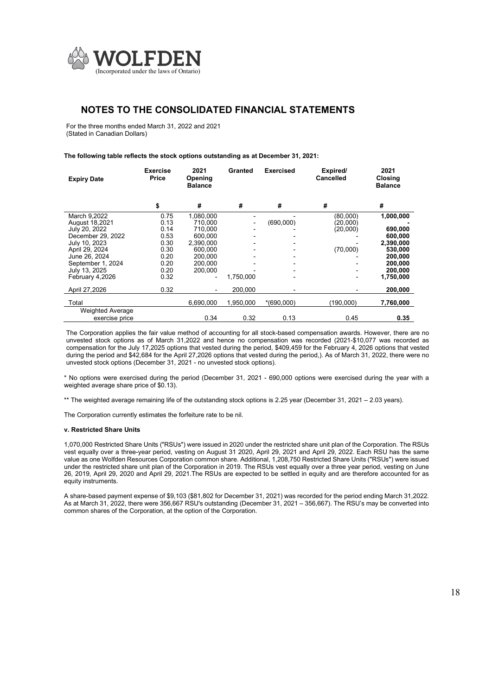

For the three months ended March 31, 2022 and 2021 (Stated in Canadian Dollars)

#### The following table reflects the stock options outstanding as at December 31, 2021:

| <b>Expiry Date</b>                                  | <b>Exercise</b><br>Price | 2021<br>Opening<br><b>Balance</b> | Granted              | <b>Exercised</b> | Expired/<br>Cancelled | 2021<br>Closing<br><b>Balance</b> |
|-----------------------------------------------------|--------------------------|-----------------------------------|----------------------|------------------|-----------------------|-----------------------------------|
|                                                     | \$                       | #                                 | #                    | #                | #                     | #                                 |
| March 9.2022<br>August 18,2021                      | 0.75<br>0.13             | 1.080.000<br>710.000              |                      | (690,000)        | (80.000)<br>(20,000)  | 1,000,000                         |
| July 20, 2022<br>December 29, 2022<br>July 10, 2023 | 0.14<br>0.53<br>0.30     | 710,000<br>600.000<br>2.390.000   |                      |                  | (20,000)              | 690,000<br>600.000<br>2,390,000   |
| April 29, 2024<br>June 26, 2024                     | 0.30<br>0.20             | 600.000<br>200.000                |                      |                  | (70,000)              | 530,000<br>200.000                |
| September 1, 2024<br>July 13, 2025                  | 0.20<br>0.20             | 200.000<br>200,000                |                      |                  |                       | 200.000<br>200,000                |
| February 4.2026<br>April 27,2026                    | 0.32<br>0.32             | $\blacksquare$                    | 1.750.000<br>200,000 |                  |                       | 1,750,000<br>200,000              |
| Total                                               |                          | 6.690.000                         | 1,950,000            | $*(690,000)$     | (190,000)             | 7,760,000                         |
| <b>Weighted Average</b><br>exercise price           |                          | 0.34                              | 0.32                 | 0.13             | 0.45                  | 0.35                              |

The Corporation applies the fair value method of accounting for all stock-based compensation awards. However, there are no unvested stock options as of March 31,2022 and hence no compensation was recorded (2021-\$10,077 was recorded as compensation for the July 17,2025 options that vested during the period, \$409,459 for the February 4, 2026 options that vested during the period and \$42,684 for the April 27,2026 options that vested during the period,). As of March 31, 2022, there were no unvested stock options (December 31, 2021 - no unvested stock options).

\* No options were exercised during the period (December 31, 2021 - 690,000 options were exercised during the year with a weighted average share price of \$0.13).

\*\* The weighted average remaining life of the outstanding stock options is 2.25 year (December 31, 2021 – 2.03 years).

The Corporation currently estimates the forfeiture rate to be nil.

#### v. Restricted Share Units

1,070,000 Restricted Share Units ("RSUs") were issued in 2020 under the restricted share unit plan of the Corporation. The RSUs vest equally over a three-year period, vesting on August 31 2020, April 29, 2021 and April 29, 2022. Each RSU has the same value as one Wolfden Resources Corporation common share. Additional, 1,208,750 Restricted Share Units ("RSUs") were issued under the restricted share unit plan of the Corporation in 2019. The RSUs vest equally over a three year period, vesting on June 26, 2019, April 29, 2020 and April 29, 2021.The RSUs are expected to be settled in equity and are therefore accounted for as equity instruments.

A share-based payment expense of \$9,103 (\$81,802 for December 31, 2021) was recorded for the period ending March 31,2022. As at March 31, 2022, there were 356,667 RSU's outstanding (December 31, 2021 – 356,667). The RSU's may be converted into common shares of the Corporation, at the option of the Corporation.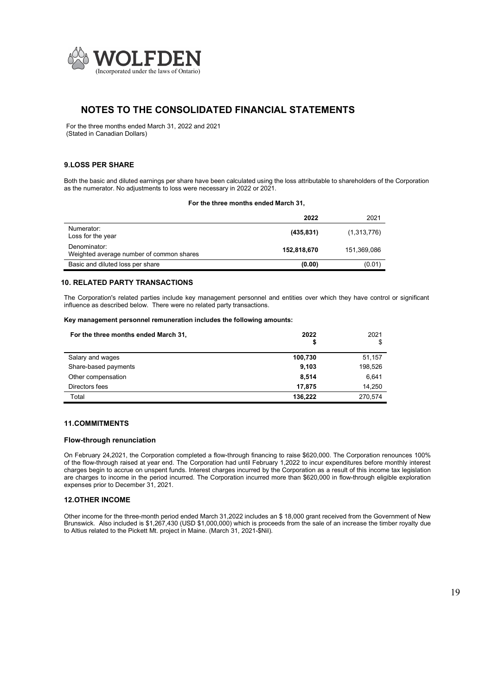

For the three months ended March 31, 2022 and 2021 (Stated in Canadian Dollars)

### 9.LOSS PER SHARE

Both the basic and diluted earnings per share have been calculated using the loss attributable to shareholders of the Corporation as the numerator. No adjustments to loss were necessary in 2022 or 2021.

#### For the three months ended March 31,

|                                                          | 2022        | 2021        |
|----------------------------------------------------------|-------------|-------------|
| Numerator:<br>Loss for the year                          | (435, 831)  | (1,313,776) |
| Denominator:<br>Weighted average number of common shares | 152,818,670 | 151,369,086 |
| Basic and diluted loss per share                         | (0.00)      | (0.01)      |

### 10. RELATED PARTY TRANSACTIONS

The Corporation's related parties include key management personnel and entities over which they have control or significant influence as described below. There were no related party transactions.

### Key management personnel remuneration includes the following amounts:

| For the three months ended March 31. | 2022<br>\$ | 2021<br>\$ |
|--------------------------------------|------------|------------|
| Salary and wages                     | 100,730    | 51,157     |
| Share-based payments                 | 9.103      | 198,526    |
| Other compensation                   | 8,514      | 6,641      |
| Directors fees                       | 17.875     | 14.250     |
| Total                                | 136.222    | 270.574    |

#### 11.COMMITMENTS

### Flow-through renunciation

On February 24,2021, the Corporation completed a flow-through financing to raise \$620,000. The Corporation renounces 100% of the flow-through raised at year end. The Corporation had until February 1,2022 to incur expenditures before monthly interest charges begin to accrue on unspent funds. Interest charges incurred by the Corporation as a result of this income tax legislation are charges to income in the period incurred. The Corporation incurred more than \$620,000 in flow-through eligible exploration expenses prior to December 31, 2021.

#### 12.OTHER INCOME

Other income for the three-month period ended March 31,2022 includes an \$ 18,000 grant received from the Government of New Brunswick. Also included is \$1,267,430 (USD \$1,000,000) which is proceeds from the sale of an increase the timber royalty due to Altius related to the Pickett Mt. project in Maine. (March 31, 2021-\$Nil).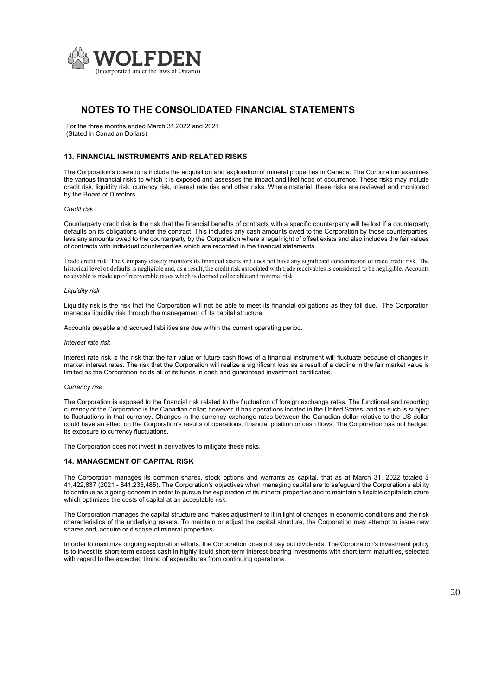

For the three months ended March 31,2022 and 2021 (Stated in Canadian Dollars)

### 13. FINANCIAL INSTRUMENTS AND RELATED RISKS

The Corporation's operations include the acquisition and exploration of mineral properties in Canada. The Corporation examines the various financial risks to which it is exposed and assesses the impact and likelihood of occurrence. These risks may include credit risk, liquidity risk, currency risk, interest rate risk and other risks. Where material, these risks are reviewed and monitored by the Board of Directors.

#### Credit risk

Counterparty credit risk is the risk that the financial benefits of contracts with a specific counterparty will be lost if a counterparty defaults on its obligations under the contract. This includes any cash amounts owed to the Corporation by those counterparties, less any amounts owed to the counterparty by the Corporation where a legal right of offset exists and also includes the fair values of contracts with individual counterparties which are recorded in the financial statements.

Trade credit risk: The Company closely monitors its financial assets and does not have any significant concentration of trade credit risk. The historical level of defaults is negligible and, as a result, the credit risk associated with trade receivables is considered to be negligible. Accounts receivable is made up of recoverable taxes which is deemed collectable and minimal risk.

#### Liquidity risk

Liquidity risk is the risk that the Corporation will not be able to meet its financial obligations as they fall due. The Corporation manages liquidity risk through the management of its capital structure.

Accounts payable and accrued liabilities are due within the current operating period.

#### Interest rate risk

Interest rate risk is the risk that the fair value or future cash flows of a financial instrument will fluctuate because of changes in market interest rates. The risk that the Corporation will realize a significant loss as a result of a decline in the fair market value is limited as the Corporation holds all of its funds in cash and guaranteed investment certificates.

#### Currency risk

The Corporation is exposed to the financial risk related to the fluctuation of foreign exchange rates. The functional and reporting currency of the Corporation is the Canadian dollar; however, it has operations located in the United States, and as such is subject to fluctuations in that currency. Changes in the currency exchange rates between the Canadian dollar relative to the US dollar could have an effect on the Corporation's results of operations, financial position or cash flows. The Corporation has not hedged its exposure to currency fluctuations.

The Corporation does not invest in derivatives to mitigate these risks.

#### 14. MANAGEMENT OF CAPITAL RISK

The Corporation manages its common shares, stock options and warrants as capital, that as at March 31, 2022 totaled \$ 41,422,837 (2021 - \$41,235,485). The Corporation's objectives when managing capital are to safeguard the Corporation's ability to continue as a going-concern in order to pursue the exploration of its mineral properties and to maintain a flexible capital structure which optimizes the costs of capital at an acceptable risk.

The Corporation manages the capital structure and makes adjustment to it in light of changes in economic conditions and the risk characteristics of the underlying assets. To maintain or adjust the capital structure, the Corporation may attempt to issue new shares and, acquire or dispose of mineral properties.

In order to maximize ongoing exploration efforts, the Corporation does not pay out dividends. The Corporation's investment policy is to invest its short-term excess cash in highly liquid short-term interest-bearing investments with short-term maturities, selected with regard to the expected timing of expenditures from continuing operations.